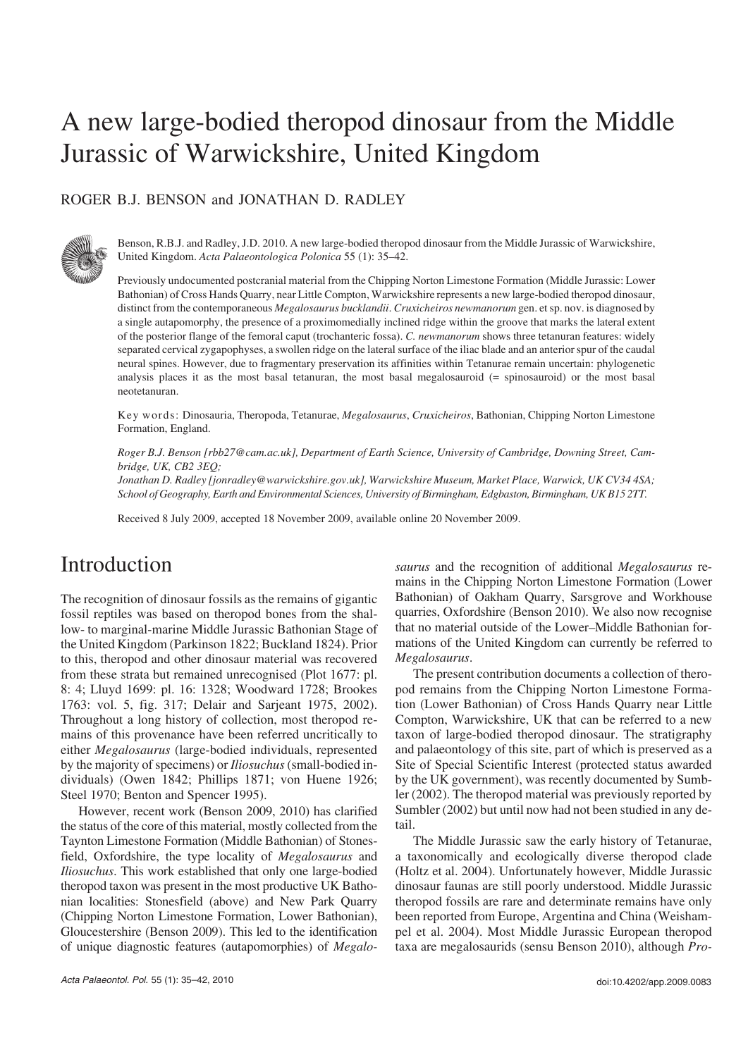# A new large−bodied theropod dinosaur from the Middle Jurassic of Warwickshire, United Kingdom

### ROGER B.J. BENSON and JONATHAN D. RADLEY



Benson, R.B.J. and Radley, J.D. 2010. A new large−bodied theropod dinosaur from the Middle Jurassic of Warwickshire, United Kingdom. *Acta Palaeontologica Polonica* 55 (1): 35–42.

Previously undocumented postcranial material from the Chipping Norton Limestone Formation (Middle Jurassic: Lower Bathonian) of Cross Hands Quarry, near Little Compton, Warwickshire represents a new large−bodied theropod dinosaur, distinct from the contemporaneous *Megalosaurus bucklandii*. *Cruxicheiros newmanorum* gen. et sp. nov. is diagnosed by a single autapomorphy, the presence of a proximomedially inclined ridge within the groove that marks the lateral extent of the posterior flange of the femoral caput (trochanteric fossa). *C. newmanorum* shows three tetanuran features: widely separated cervical zygapophyses, a swollen ridge on the lateral surface of the iliac blade and an anterior spur of the caudal neural spines. However, due to fragmentary preservation its affinities within Tetanurae remain uncertain: phylogenetic analysis places it as the most basal tetanuran, the most basal megalosauroid (= spinosauroid) or the most basal neotetanuran.

Key words: Dinosauria, Theropoda, Tetanurae, *Megalosaurus*, *Cruxicheiros*, Bathonian, Chipping Norton Limestone Formation, England.

*Roger B.J. Benson [rbb27@cam.ac.uk], Department of Earth Science, University of Cambridge, Downing Street, Cam− bridge, UK, CB2 3EQ;*

*Jonathan D. Radley [jonradley@warwickshire.gov.uk], Warwickshire Museum, Market Place, Warwick, UK CV34 4SA; School of Geography, Earth and Environmental Sciences, University of Birmingham, Edgbaston, Birmingham, UK B15 2TT.*

Received 8 July 2009, accepted 18 November 2009, available online 20 November 2009.

## Introduction

The recognition of dinosaur fossils as the remains of gigantic fossil reptiles was based on theropod bones from the shal− low− to marginal−marine Middle Jurassic Bathonian Stage of the United Kingdom (Parkinson 1822; Buckland 1824). Prior to this, theropod and other dinosaur material was recovered from these strata but remained unrecognised (Plot 1677: pl. 8: 4; Lluyd 1699: pl. 16: 1328; Woodward 1728; Brookes 1763: vol. 5, fig. 317; Delair and Sarjeant 1975, 2002). Throughout a long history of collection, most theropod re− mains of this provenance have been referred uncritically to either *Megalosaurus* (large−bodied individuals, represented by the majority of specimens) or *Iliosuchus*(small−bodied in− dividuals) (Owen 1842; Phillips 1871; von Huene 1926; Steel 1970; Benton and Spencer 1995).

However, recent work (Benson 2009, 2010) has clarified the status of the core of this material, mostly collected from the Taynton Limestone Formation (Middle Bathonian) of Stones− field, Oxfordshire, the type locality of *Megalosaurus* and *Iliosuchus*. This work established that only one large−bodied theropod taxon was present in the most productive UK Batho− nian localities: Stonesfield (above) and New Park Quarry (Chipping Norton Limestone Formation, Lower Bathonian), Gloucestershire (Benson 2009). This led to the identification of unique diagnostic features (autapomorphies) of *Megalo−* *saurus* and the recognition of additional *Megalosaurus* re− mains in the Chipping Norton Limestone Formation (Lower Bathonian) of Oakham Quarry, Sarsgrove and Workhouse quarries, Oxfordshire (Benson 2010). We also now recognise that no material outside of the Lower–Middle Bathonian for− mations of the United Kingdom can currently be referred to *Megalosaurus*.

The present contribution documents a collection of thero− pod remains from the Chipping Norton Limestone Forma− tion (Lower Bathonian) of Cross Hands Quarry near Little Compton, Warwickshire, UK that can be referred to a new taxon of large−bodied theropod dinosaur. The stratigraphy and palaeontology of this site, part of which is preserved as a Site of Special Scientific Interest (protected status awarded by the UK government), was recently documented by Sumb− ler (2002). The theropod material was previously reported by Sumbler (2002) but until now had not been studied in any de− tail.

The Middle Jurassic saw the early history of Tetanurae, a taxonomically and ecologically diverse theropod clade (Holtz et al. 2004). Unfortunately however, Middle Jurassic dinosaur faunas are still poorly understood. Middle Jurassic theropod fossils are rare and determinate remains have only been reported from Europe, Argentina and China (Weisham− pel et al. 2004). Most Middle Jurassic European theropod taxa are megalosaurids (sensu Benson 2010), although *Pro−*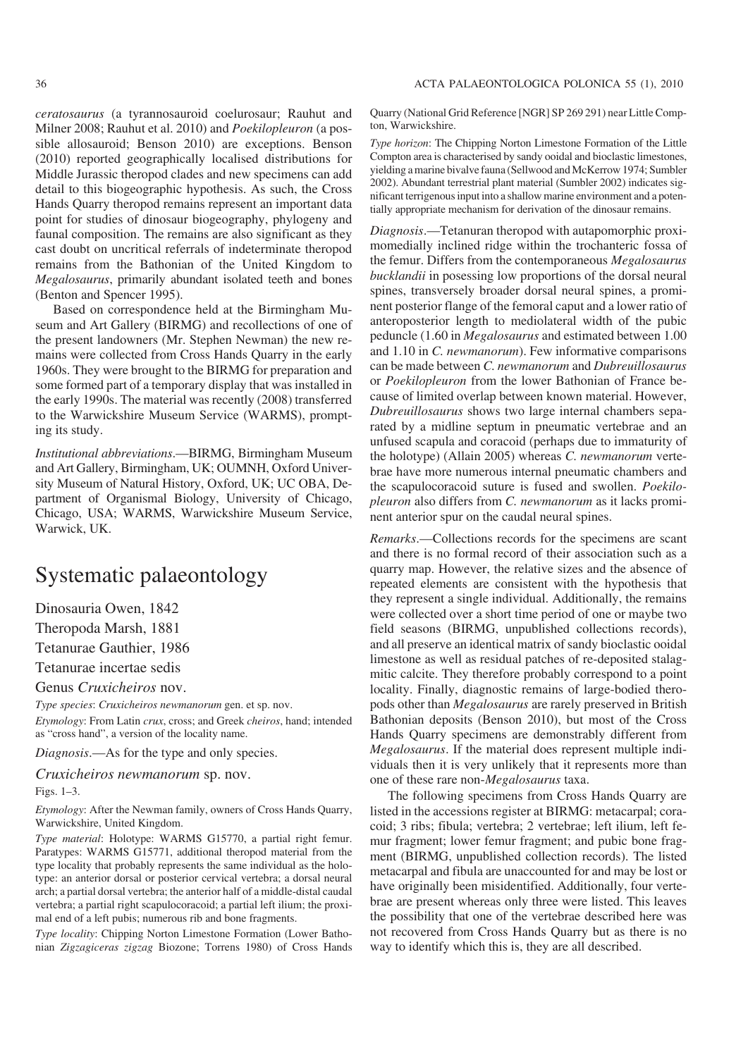*ceratosaurus* (a tyrannosauroid coelurosaur; Rauhut and Milner 2008; Rauhut et al. 2010) and *Poekilopleuron* (a pos− sible allosauroid; Benson 2010) are exceptions. Benson (2010) reported geographically localised distributions for Middle Jurassic theropod clades and new specimens can add detail to this biogeographic hypothesis. As such, the Cross Hands Quarry theropod remains represent an important data point for studies of dinosaur biogeography, phylogeny and faunal composition. The remains are also significant as they cast doubt on uncritical referrals of indeterminate theropod remains from the Bathonian of the United Kingdom to *Megalosaurus*, primarily abundant isolated teeth and bones (Benton and Spencer 1995).

Based on correspondence held at the Birmingham Mu− seum and Art Gallery (BIRMG) and recollections of one of the present landowners (Mr. Stephen Newman) the new re− mains were collected from Cross Hands Quarry in the early 1960s. They were brought to the BIRMG for preparation and some formed part of a temporary display that was installed in the early 1990s. The material was recently (2008) transferred to the Warwickshire Museum Service (WARMS), prompt− ing its study.

*Institutional abbreviations*.—BIRMG, Birmingham Museum and Art Gallery, Birmingham, UK; OUMNH, Oxford Univer− sity Museum of Natural History, Oxford, UK; UC OBA, De− partment of Organismal Biology, University of Chicago, Chicago, USA; WARMS, Warwickshire Museum Service, Warwick, UK.

### Systematic palaeontology

Dinosauria Owen, 1842

Theropoda Marsh, 1881

Tetanurae Gauthier, 1986

Tetanurae incertae sedis

Genus *Cruxicheiros* nov.

*Type species*: *Cruxicheiros newmanorum* gen. et sp. nov.

*Etymology*: From Latin *crux*, cross; and Greek *cheiros*, hand; intended as "cross hand", a version of the locality name.

*Diagnosis*.—As for the type and only species.

*Cruxicheiros newmanorum* sp. nov. Figs. 1–3.

*Etymology*: After the Newman family, owners of Cross Hands Quarry, Warwickshire, United Kingdom.

*Type material*: Holotype: WARMS G15770, a partial right femur. Paratypes: WARMS G15771, additional theropod material from the type locality that probably represents the same individual as the holo− type: an anterior dorsal or posterior cervical vertebra; a dorsal neural arch; a partial dorsal vertebra; the anterior half of a middle−distal caudal vertebra; a partial right scapulocoracoid; a partial left ilium; the proxi− mal end of a left pubis; numerous rib and bone fragments.

*Type locality*: Chipping Norton Limestone Formation (Lower Batho− nian *Zigzagiceras zigzag* Biozone; Torrens 1980) of Cross Hands Quarry (National Grid Reference [NGR] SP 269 291) near Little Comp− ton, Warwickshire.

*Type horizon*: The Chipping Norton Limestone Formation of the Little Compton area is characterised by sandy ooidal and bioclastic limestones, yielding a marine bivalve fauna (Sellwood and McKerrow 1974; Sumbler 2002). Abundant terrestrial plant material (Sumbler 2002) indicates sig− nificant terrigenous input into a shallow marine environment and a poten− tially appropriate mechanism for derivation of the dinosaur remains.

*Diagnosis*.—Tetanuran theropod with autapomorphic proxi− momedially inclined ridge within the trochanteric fossa of the femur. Differs from the contemporaneous *Megalosaurus bucklandii* in posessing low proportions of the dorsal neural spines, transversely broader dorsal neural spines, a promi− nent posterior flange of the femoral caput and a lower ratio of anteroposterior length to mediolateral width of the pubic peduncle (1.60 in *Megalosaurus* and estimated between 1.00 and 1.10 in *C. newmanorum*). Few informative comparisons can be made between *C. newmanorum* and *Dubreuillosaurus* or *Poekilopleuron* from the lower Bathonian of France be− cause of limited overlap between known material. However, *Dubreuillosaurus* shows two large internal chambers sepa− rated by a midline septum in pneumatic vertebrae and an unfused scapula and coracoid (perhaps due to immaturity of the holotype) (Allain 2005) whereas *C. newmanorum* verte− brae have more numerous internal pneumatic chambers and the scapulocoracoid suture is fused and swollen. *Poekilo− pleuron* also differs from *C. newmanorum* as it lacks promi− nent anterior spur on the caudal neural spines.

*Remarks*.—Collections records for the specimens are scant and there is no formal record of their association such as a quarry map. However, the relative sizes and the absence of repeated elements are consistent with the hypothesis that they represent a single individual. Additionally, the remains were collected over a short time period of one or maybe two field seasons (BIRMG, unpublished collections records), and all preserve an identical matrix of sandy bioclastic ooidal limestone as well as residual patches of re−deposited stalag− mitic calcite. They therefore probably correspond to a point locality. Finally, diagnostic remains of large−bodied thero− pods other than *Megalosaurus* are rarely preserved in British Bathonian deposits (Benson 2010), but most of the Cross Hands Quarry specimens are demonstrably different from *Megalosaurus*. If the material does represent multiple individuals then it is very unlikely that it represents more than one of these rare non−*Megalosaurus* taxa.

The following specimens from Cross Hands Quarry are listed in the accessions register at BIRMG: metacarpal; cora− coid; 3 ribs; fibula; vertebra; 2 vertebrae; left ilium, left fe− mur fragment; lower femur fragment; and pubic bone frag− ment (BIRMG, unpublished collection records). The listed metacarpal and fibula are unaccounted for and may be lost or have originally been misidentified. Additionally, four verte− brae are present whereas only three were listed. This leaves the possibility that one of the vertebrae described here was not recovered from Cross Hands Quarry but as there is no way to identify which this is, they are all described.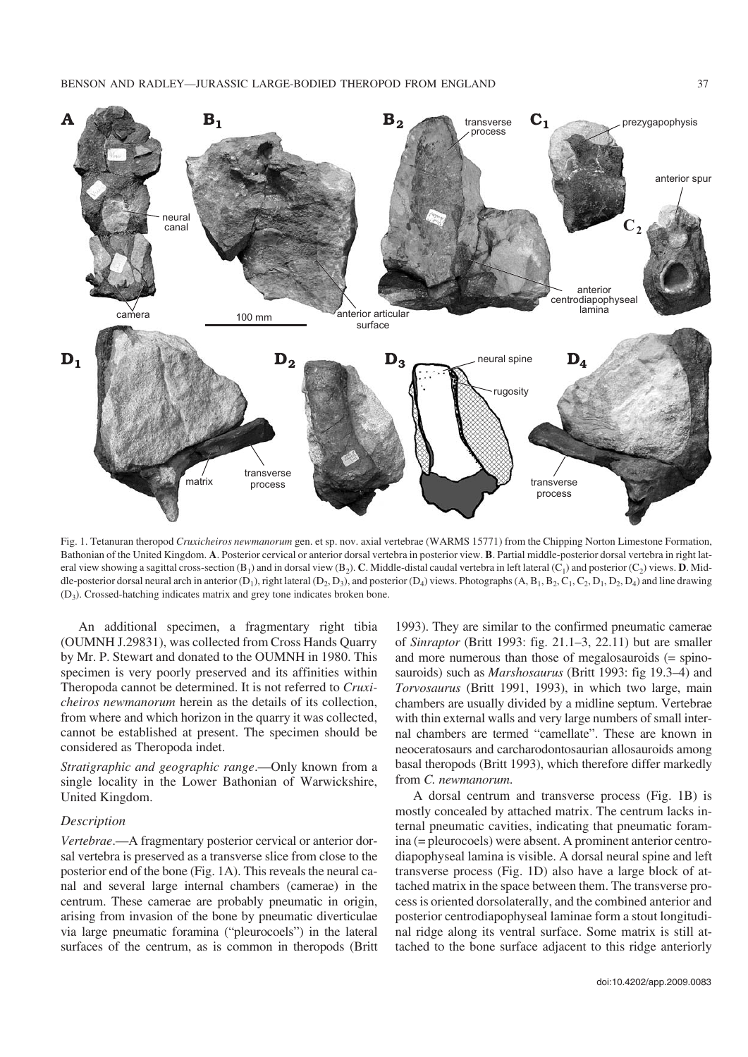

Fig. 1. Tetanuran theropod *Cruxicheiros newmanorum* gen. et sp. nov. axial vertebrae (WARMS 15771) from the Chipping Norton Limestone Formation, Bathonian of the United Kingdom. **A**. Posterior cervical or anterior dorsal vertebra in posterior view. **B**. Partial middle−posterior dorsal vertebra in right lat− eral view showing a sagittal cross-section (B<sub>1</sub>) and in dorsal view (B<sub>2</sub>). **C**. Middle-distal caudal vertebra in left lateral (C<sub>1</sub>) and posterior (C<sub>2</sub>) views. **D**. Middle-posterior dorsal neural arch in anterior (D<sub>1</sub>), right lateral (D<sub>2</sub>, D<sub>3</sub>), and posterior (D<sub>4</sub>) views. Photographs (A, B<sub>1</sub>, B<sub>2</sub>, C<sub>1</sub>, C<sub>2</sub>, D<sub>1</sub>, D<sub>2</sub>, D<sub>4</sub>) and line drawing (D3). Crossed−hatching indicates matrix and grey tone indicates broken bone.

An additional specimen, a fragmentary right tibia (OUMNH J.29831), was collected from Cross Hands Quarry by Mr. P. Stewart and donated to the OUMNH in 1980. This specimen is very poorly preserved and its affinities within Theropoda cannot be determined. It is not referred to *Cruxi− cheiros newmanorum* herein as the details of its collection, from where and which horizon in the quarry it was collected, cannot be established at present. The specimen should be considered as Theropoda indet.

*Stratigraphic and geographic range*.—Only known from a single locality in the Lower Bathonian of Warwickshire, United Kingdom.

### *Description*

*Vertebrae*.—A fragmentary posterior cervical or anterior dor− sal vertebra is preserved as a transverse slice from close to the posterior end of the bone (Fig. 1A). This reveals the neural ca− nal and several large internal chambers (camerae) in the centrum. These camerae are probably pneumatic in origin, arising from invasion of the bone by pneumatic diverticulae via large pneumatic foramina ("pleurocoels") in the lateral surfaces of the centrum, as is common in theropods (Britt

1993). They are similar to the confirmed pneumatic camerae of *Sinraptor* (Britt 1993: fig. 21.1–3, 22.11) but are smaller and more numerous than those of megalosauroids (= spino− sauroids) such as *Marshosaurus* (Britt 1993: fig 19.3–4) and *Torvosaurus* (Britt 1991, 1993), in which two large, main chambers are usually divided by a midline septum. Vertebrae with thin external walls and very large numbers of small inter− nal chambers are termed "camellate". These are known in neoceratosaurs and carcharodontosaurian allosauroids among basal theropods (Britt 1993), which therefore differ markedly from *C. newmanorum*.

A dorsal centrum and transverse process (Fig. 1B) is mostly concealed by attached matrix. The centrum lacks in− ternal pneumatic cavities, indicating that pneumatic foram− ina (= pleurocoels) were absent. A prominent anterior centro− diapophyseal lamina is visible. A dorsal neural spine and left transverse process (Fig. 1D) also have a large block of at− tached matrix in the space between them. The transverse pro− cess is oriented dorsolaterally, and the combined anterior and posterior centrodiapophyseal laminae form a stout longitudi− nal ridge along its ventral surface. Some matrix is still at− tached to the bone surface adjacent to this ridge anteriorly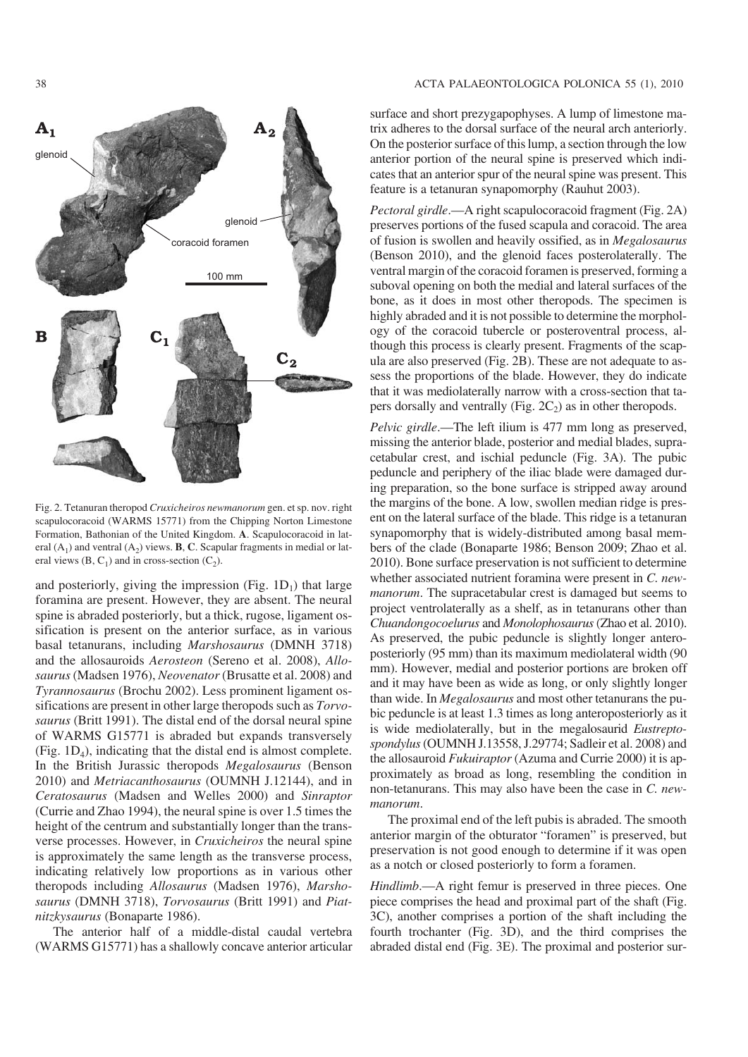

Fig. 2. Tetanuran theropod *Cruxicheiros newmanorum* gen. et sp. nov. right scapulocoracoid (WARMS 15771) from the Chipping Norton Limestone Formation, Bathonian of the United Kingdom. **A**. Scapulocoracoid in lat− eral (A<sub>1</sub>) and ventral (A<sub>2</sub>) views. **B**, **C**. Scapular fragments in medial or lat– eral views (B, C<sub>1</sub>) and in cross-section  $(C_2)$ .

and posteriorly, giving the impression (Fig.  $1D_1$ ) that large foramina are present. However, they are absent. The neural spine is abraded posteriorly, but a thick, rugose, ligament os− sification is present on the anterior surface, as in various basal tetanurans, including *Marshosaurus* (DMNH 3718) and the allosauroids *Aerosteon* (Sereno et al. 2008), *Allo− saurus*(Madsen 1976), *Neovenator* (Brusatte et al. 2008) and *Tyrannosaurus* (Brochu 2002). Less prominent ligament os− sifications are present in other large theropods such as *Torvo− saurus* (Britt 1991). The distal end of the dorsal neural spine of WARMS G15771 is abraded but expands transversely (Fig.  $1D_4$ ), indicating that the distal end is almost complete. In the British Jurassic theropods *Megalosaurus* (Benson 2010) and *Metriacanthosaurus* (OUMNH J.12144), and in *Ceratosaurus* (Madsen and Welles 2000) and *Sinraptor* (Currie and Zhao 1994), the neural spine is over 1.5 times the height of the centrum and substantially longer than the trans− verse processes. However, in *Cruxicheiros* the neural spine is approximately the same length as the transverse process, indicating relatively low proportions as in various other theropods including *Allosaurus* (Madsen 1976), *Marsho− saurus* (DMNH 3718), *Torvosaurus* (Britt 1991) and *Piat− nitzkysaurus* (Bonaparte 1986).

The anterior half of a middle−distal caudal vertebra (WARMS G15771) has a shallowly concave anterior articular

#### 38 ACTA PALAEONTOLOGICA POLONICA 55 (1), 2010

surface and short prezygapophyses. A lump of limestone ma− trix adheres to the dorsal surface of the neural arch anteriorly. On the posterior surface of this lump, a section through the low anterior portion of the neural spine is preserved which indi− cates that an anterior spur of the neural spine was present. This feature is a tetanuran synapomorphy (Rauhut 2003).

*Pectoral girdle*.—A right scapulocoracoid fragment (Fig. 2A) preserves portions of the fused scapula and coracoid. The area of fusion is swollen and heavily ossified, as in *Megalosaurus* (Benson 2010), and the glenoid faces posterolaterally. The ventral margin of the coracoid foramen is preserved, forming a suboval opening on both the medial and lateral surfaces of the bone, as it does in most other theropods. The specimen is highly abraded and it is not possible to determine the morphol− ogy of the coracoid tubercle or posteroventral process, al− though this process is clearly present. Fragments of the scap− ula are also preserved (Fig. 2B). These are not adequate to as− sess the proportions of the blade. However, they do indicate that it was mediolaterally narrow with a cross−section that ta− pers dorsally and ventrally (Fig.  $2C_2$ ) as in other theropods.

*Pelvic girdle*.—The left ilium is 477 mm long as preserved, missing the anterior blade, posterior and medial blades, supra− cetabular crest, and ischial peduncle (Fig. 3A). The pubic peduncle and periphery of the iliac blade were damaged dur− ing preparation, so the bone surface is stripped away around the margins of the bone. A low, swollen median ridge is pres− ent on the lateral surface of the blade. This ridge is a tetanuran synapomorphy that is widely-distributed among basal members of the clade (Bonaparte 1986; Benson 2009; Zhao et al. 2010). Bone surface preservation is not sufficient to determine whether associated nutrient foramina were present in *C. new− manorum*. The supracetabular crest is damaged but seems to project ventrolaterally as a shelf, as in tetanurans other than *Chuandongocoelurus* and *Monolophosaurus*(Zhao et al. 2010). As preserved, the pubic peduncle is slightly longer antero− posteriorly (95 mm) than its maximum mediolateral width (90 mm). However, medial and posterior portions are broken off and it may have been as wide as long, or only slightly longer than wide. In *Megalosaurus* and most other tetanurans the pu− bic peduncle is at least 1.3 times as long anteroposteriorly as it is wide mediolaterally, but in the megalosaurid *Eustrepto− spondylus*(OUMNH J.13558, J.29774; Sadleir et al. 2008) and the allosauroid *Fukuiraptor* (Azuma and Currie 2000) it is ap− proximately as broad as long, resembling the condition in non−tetanurans. This may also have been the case in *C. new− manorum*.

The proximal end of the left pubis is abraded. The smooth anterior margin of the obturator "foramen" is preserved, but preservation is not good enough to determine if it was open as a notch or closed posteriorly to form a foramen.

*Hindlimb*.—A right femur is preserved in three pieces. One piece comprises the head and proximal part of the shaft (Fig. 3C), another comprises a portion of the shaft including the fourth trochanter (Fig. 3D), and the third comprises the abraded distal end (Fig. 3E). The proximal and posterior sur−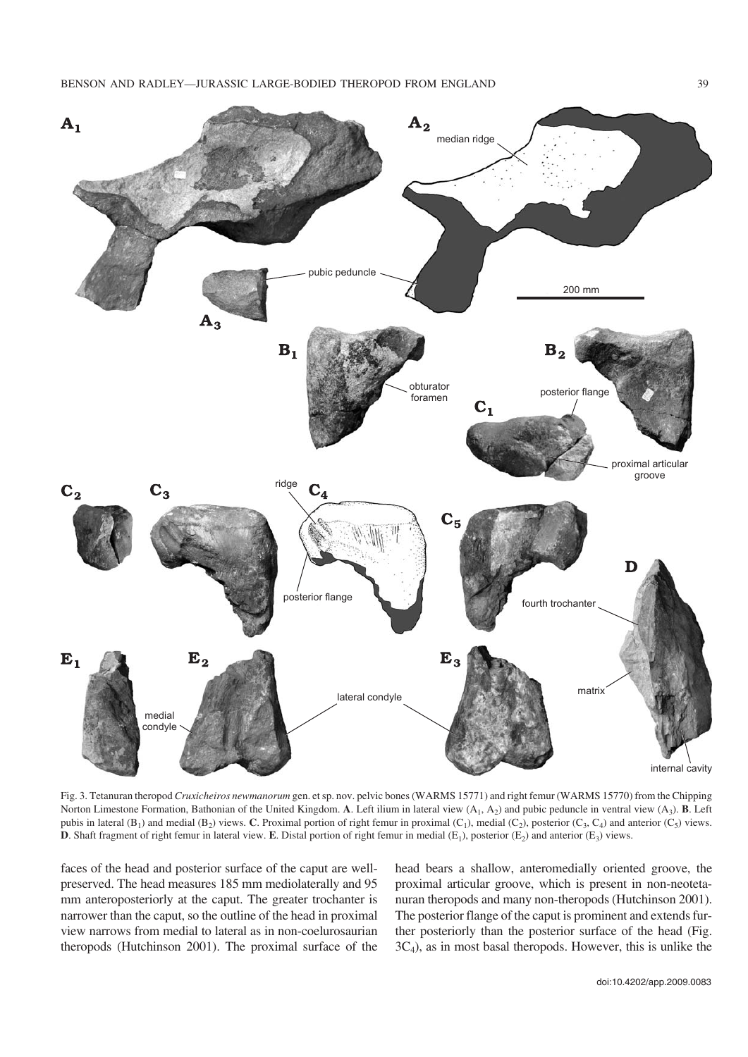

Fig. 3. Tetanuran theropod *Cruxicheiros newmanorum* gen. et sp. nov. pelvic bones (WARMS 15771) and right femur (WARMS 15770) from the Chipping Norton Limestone Formation, Bathonian of the United Kingdom. **A**. Left ilium in lateral view  $(A_1, A_2)$  and pubic peduncle in ventral view  $(A_3)$ . **B**. Left pubis in lateral  $(B_1)$  and medial  $(B_2)$  views. **C**. Proximal portion of right femur in proximal  $(C_1)$ , medial  $(C_2)$ , posterior  $(C_3, C_4)$  and anterior  $(C_5)$  views. **D**. Shaft fragment of right femur in lateral view. **E**. Distal portion of right femur in medial  $(E_1)$ , posterior  $(E_2)$  and anterior  $(E_3)$  views.

faces of the head and posterior surface of the caput are well− preserved. The head measures 185 mm mediolaterally and 95 mm anteroposteriorly at the caput. The greater trochanter is narrower than the caput, so the outline of the head in proximal view narrows from medial to lateral as in non−coelurosaurian theropods (Hutchinson 2001). The proximal surface of the head bears a shallow, anteromedially oriented groove, the proximal articular groove, which is present in non−neoteta− nuran theropods and many non−theropods (Hutchinson 2001). The posterior flange of the caput is prominent and extends fur− ther posteriorly than the posterior surface of the head (Fig. 3C4), as in most basal theropods. However, this is unlike the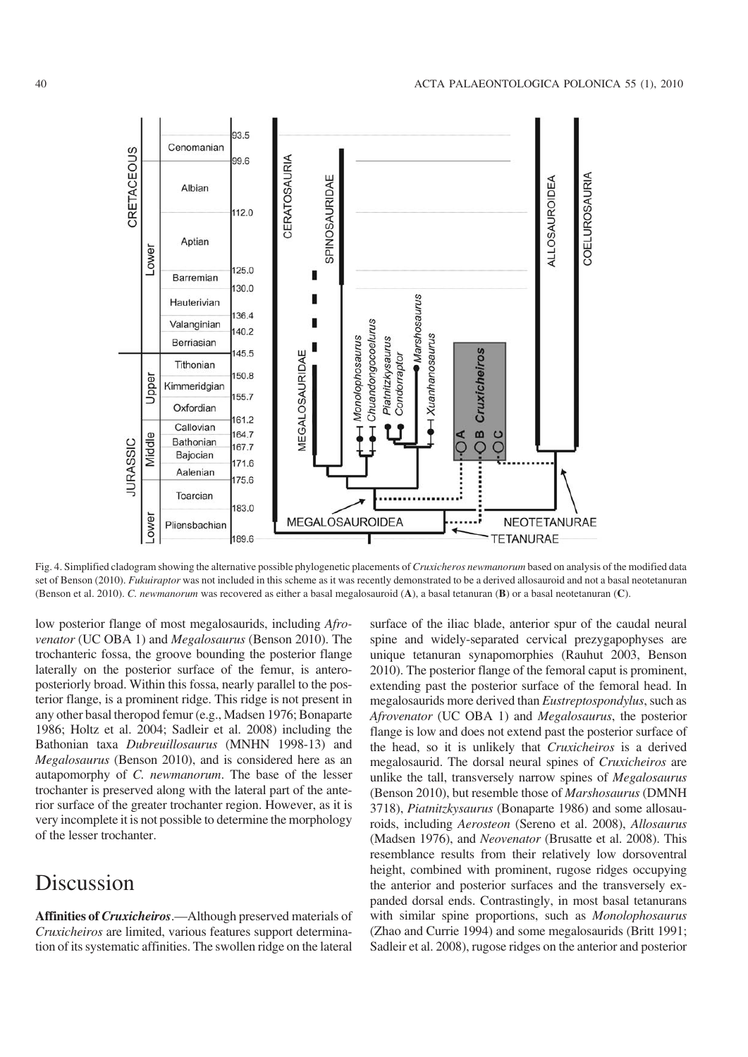

Fig. 4. Simplified cladogram showing the alternative possible phylogenetic placements of *Cruxicheros newmanorum* based on analysis of the modified data set of Benson (2010). *Fukuiraptor* was not included in this scheme as it was recently demonstrated to be a derived allosauroid and not a basal neotetanuran (Benson et al. 2010). *C. newmanorum* was recovered as either a basal megalosauroid (**A**), a basal tetanuran (**B**) or a basal neotetanuran (**C**).

low posterior flange of most megalosaurids, including *Afro− venator* (UC OBA 1) and *Megalosaurus* (Benson 2010). The trochanteric fossa, the groove bounding the posterior flange laterally on the posterior surface of the femur, is antero− posteriorly broad. Within this fossa, nearly parallel to the pos− terior flange, is a prominent ridge. This ridge is not present in any other basal theropod femur (e.g., Madsen 1976; Bonaparte 1986; Holtz et al. 2004; Sadleir et al. 2008) including the Bathonian taxa *Dubreuillosaurus* (MNHN 1998−13) and *Megalosaurus* (Benson 2010), and is considered here as an autapomorphy of *C. newmanorum*. The base of the lesser trochanter is preserved along with the lateral part of the ante− rior surface of the greater trochanter region. However, as it is very incomplete it is not possible to determine the morphology of the lesser trochanter.

### Discussion

**Affinities of** *Cruxicheiros*.—Although preserved materials of *Cruxicheiros* are limited, various features support determina− tion of its systematic affinities. The swollen ridge on the lateral surface of the iliac blade, anterior spur of the caudal neural spine and widely−separated cervical prezygapophyses are unique tetanuran synapomorphies (Rauhut 2003, Benson 2010). The posterior flange of the femoral caput is prominent, extending past the posterior surface of the femoral head. In megalosaurids more derived than *Eustreptospondylus*, such as *Afrovenator* (UC OBA 1) and *Megalosaurus*, the posterior flange is low and does not extend past the posterior surface of the head, so it is unlikely that *Cruxicheiros* is a derived megalosaurid. The dorsal neural spines of *Cruxicheiros* are unlike the tall, transversely narrow spines of *Megalosaurus* (Benson 2010), but resemble those of *Marshosaurus* (DMNH 3718), *Piatnitzkysaurus* (Bonaparte 1986) and some allosau− roids, including *Aerosteon* (Sereno et al. 2008), *Allosaurus* (Madsen 1976), and *Neovenator* (Brusatte et al. 2008). This resemblance results from their relatively low dorsoventral height, combined with prominent, rugose ridges occupying the anterior and posterior surfaces and the transversely ex− panded dorsal ends. Contrastingly, in most basal tetanurans with similar spine proportions, such as *Monolophosaurus* (Zhao and Currie 1994) and some megalosaurids (Britt 1991; Sadleir et al. 2008), rugose ridges on the anterior and posterior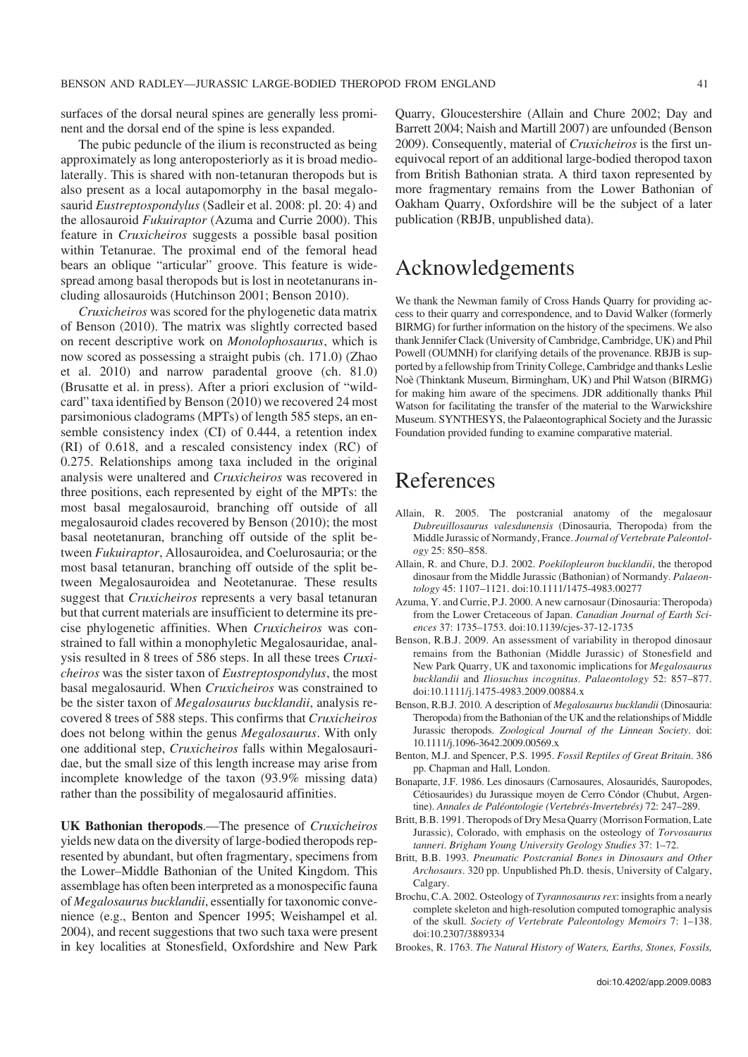surfaces of the dorsal neural spines are generally less prominent and the dorsal end of the spine is less expanded.

The pubic peduncle of the ilium is reconstructed as being approximately as long anteroposteriorly as it is broad medio− laterally. This is shared with non−tetanuran theropods but is also present as a local autapomorphy in the basal megalo− saurid *Eustreptospondylus* (Sadleir et al. 2008: pl. 20: 4) and the allosauroid *Fukuiraptor* (Azuma and Currie 2000). This feature in *Cruxicheiros* suggests a possible basal position within Tetanurae. The proximal end of the femoral head bears an oblique "articular" groove. This feature is wide− spread among basal theropods but is lost in neotetanurans in− cluding allosauroids (Hutchinson 2001; Benson 2010).

*Cruxicheiros* was scored for the phylogenetic data matrix of Benson (2010). The matrix was slightly corrected based on recent descriptive work on *Monolophosaurus*, which is now scored as possessing a straight pubis (ch. 171.0) (Zhao et al. 2010) and narrow paradental groove (ch. 81.0) (Brusatte et al. in press). After a priori exclusion of "wild− card" taxa identified by Benson (2010) we recovered 24 most parsimonious cladograms (MPTs) of length 585 steps, an en− semble consistency index (CI) of 0.444, a retention index (RI) of 0.618, and a rescaled consistency index (RC) of 0.275. Relationships among taxa included in the original analysis were unaltered and *Cruxicheiros* was recovered in three positions, each represented by eight of the MPTs: the most basal megalosauroid, branching off outside of all megalosauroid clades recovered by Benson (2010); the most basal neotetanuran, branching off outside of the split be− tween *Fukuiraptor*, Allosauroidea, and Coelurosauria; or the most basal tetanuran, branching off outside of the split be− tween Megalosauroidea and Neotetanurae. These results suggest that *Cruxicheiros* represents a very basal tetanuran but that current materials are insufficient to determine its pre− cise phylogenetic affinities. When *Cruxicheiros* was con− strained to fall within a monophyletic Megalosauridae, anal− ysis resulted in 8 trees of 586 steps. In all these trees *Cruxi− cheiros* was the sister taxon of *Eustreptospondylus*, the most basal megalosaurid. When *Cruxicheiros* was constrained to be the sister taxon of *Megalosaurus bucklandii*, analysis re− covered 8 trees of 588 steps. This confirms that *Cruxicheiros* does not belong within the genus *Megalosaurus*. With only one additional step, *Cruxicheiros* falls within Megalosauri− dae, but the small size of this length increase may arise from incomplete knowledge of the taxon (93.9% missing data) rather than the possibility of megalosaurid affinities.

**UK Bathonian theropods**.—The presence of *Cruxicheiros* yields new data on the diversity of large−bodied theropods rep− resented by abundant, but often fragmentary, specimens from the Lower–Middle Bathonian of the United Kingdom. This assemblage has often been interpreted as a monospecific fauna of *Megalosaurus bucklandii*, essentially for taxonomic conve− nience (e.g., Benton and Spencer 1995; Weishampel et al. 2004), and recent suggestions that two such taxa were present in key localities at Stonesfield, Oxfordshire and New Park Quarry, Gloucestershire (Allain and Chure 2002; Day and Barrett 2004; Naish and Martill 2007) are unfounded (Benson 2009). Consequently, material of *Cruxicheiros* is the first un− equivocal report of an additional large−bodied theropod taxon from British Bathonian strata. A third taxon represented by more fragmentary remains from the Lower Bathonian of Oakham Quarry, Oxfordshire will be the subject of a later publication (RBJB, unpublished data).

### Acknowledgements

We thank the Newman family of Cross Hands Quarry for providing ac− cess to their quarry and correspondence, and to David Walker (formerly BIRMG) for further information on the history of the specimens. We also thank Jennifer Clack (University of Cambridge, Cambridge, UK) and Phil Powell (OUMNH) for clarifying details of the provenance. RBJB is sup− ported by a fellowship from Trinity College, Cambridge and thanks Leslie Noè (Thinktank Museum, Birmingham, UK) and Phil Watson (BIRMG) for making him aware of the specimens. JDR additionally thanks Phil Watson for facilitating the transfer of the material to the Warwickshire Museum. SYNTHESYS, the Palaeontographical Society and the Jurassic Foundation provided funding to examine comparative material.

### References

- Allain, R. 2005. The postcranial anatomy of the megalosaur *Dubreuillosaurus valesdunensis* (Dinosauria, Theropoda) from the Middle Jurassic of Normandy, France. *Journal of Vertebrate Paleontol− ogy* 25: 850–858.
- Allain, R. and Chure, D.J. 2002. *Poekilopleuron bucklandii*, the theropod dinosaur from the Middle Jurassic (Bathonian) of Normandy. *Palaeon− tology* 45: 1107–1121. doi:10.1111/1475−4983.00277
- Azuma, Y. and Currie, P.J. 2000. A new carnosaur (Dinosauria: Theropoda) from the Lower Cretaceous of Japan. *Canadian Journal of Earth Sci− ences* 37: 1735–1753. doi:10.1139/cjes−37−12−1735
- Benson, R.B.J. 2009. An assessment of variability in theropod dinosaur remains from the Bathonian (Middle Jurassic) of Stonesfield and New Park Quarry, UK and taxonomic implications for *Megalosaurus bucklandii* and *Iliosuchus incognitus*. *Palaeontology* 52: 857–877. doi:10.1111/j.1475−4983.2009.00884.x
- Benson, R.B.J. 2010. A description of *Megalosaurus bucklandii* (Dinosauria: Theropoda) from the Bathonian of the UK and the relationships of Middle Jurassic theropods. *Zoological Journal of the Linnean Society*. doi: 10.1111/j.1096−3642.2009.00569.x
- Benton, M.J. and Spencer, P.S. 1995. *Fossil Reptiles of Great Britain*. 386 pp. Chapman and Hall, London.
- Bonaparte, J.F. 1986. Les dinosaurs (Carnosaures, Alosauridés, Sauropodes, Cétiosaurides) du Jurassique moyen de Cerro Cóndor (Chubut, Argen− tine). *Annales de Paléontologie (Vertebrés−Invertebrés)* 72: 247–289.
- Britt, B.B. 1991. Theropods of Dry Mesa Quarry (Morrison Formation, Late Jurassic), Colorado, with emphasis on the osteology of *Torvosaurus tanneri*. *Brigham Young University Geology Studies* 37: 1–72.
- Britt, B.B. 1993. *Pneumatic Postcranial Bones in Dinosaurs and Other Archosaurs*. 320 pp. Unpublished Ph.D. thesis, University of Calgary, Calgary.
- Brochu, C.A. 2002. Osteology of *Tyrannosaurus rex*: insights from a nearly complete skeleton and high−resolution computed tomographic analysis of the skull. *Society of Vertebrate Paleontology Memoirs* 7: 1–138. doi:10.2307/3889334
- Brookes, R. 1763. *The Natural History of Waters, Earths, Stones, Fossils,*